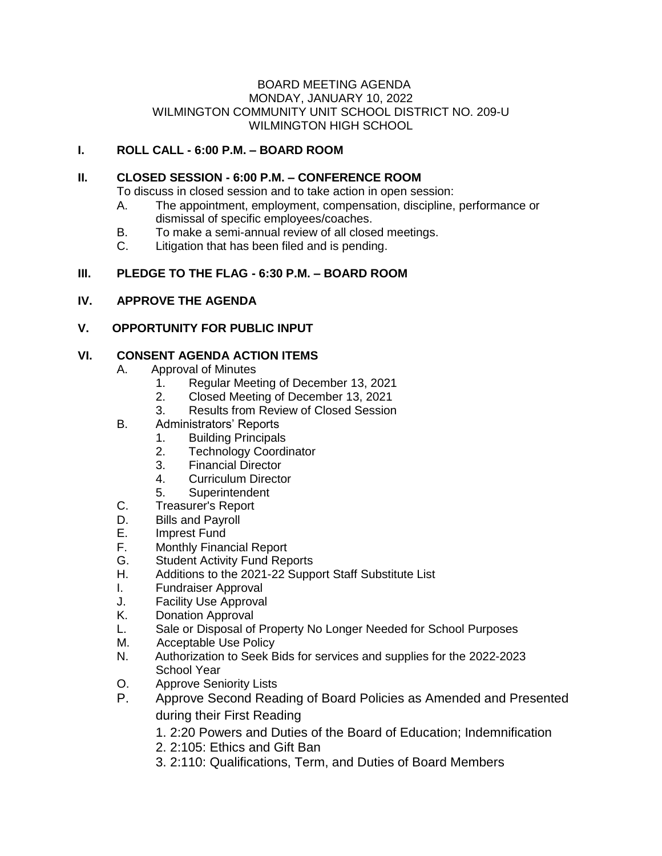#### BOARD MEETING AGENDA MONDAY, JANUARY 10, 2022 WILMINGTON COMMUNITY UNIT SCHOOL DISTRICT NO. 209-U WILMINGTON HIGH SCHOOL

# **I. ROLL CALL - 6:00 P.M. – BOARD ROOM**

### **II. CLOSED SESSION - 6:00 P.M. – CONFERENCE ROOM**

To discuss in closed session and to take action in open session:

- A. The appointment, employment, compensation, discipline, performance or dismissal of specific employees/coaches.
- B. To make a semi-annual review of all closed meetings.
- C. Litigation that has been filed and is pending.

## **III. PLEDGE TO THE FLAG - 6:30 P.M. – BOARD ROOM**

### **IV. APPROVE THE AGENDA**

### **V. OPPORTUNITY FOR PUBLIC INPUT**

### **VI. CONSENT AGENDA ACTION ITEMS**

- A. Approval of Minutes
	- 1. Regular Meeting of December 13, 2021
	- 2. Closed Meeting of December 13, 2021
	- 3. Results from Review of Closed Session
- B. Administrators' Reports
	- 1. Building Principals
	- 2. Technology Coordinator
	- 3. Financial Director
	- 4. Curriculum Director
	- 5. Superintendent
- C. Treasurer's Report
- D. Bills and Payroll
- E. Imprest Fund
- F. Monthly Financial Report
- G. Student Activity Fund Reports
- H. Additions to the 2021-22 Support Staff Substitute List
- I. Fundraiser Approval
- J. Facility Use Approval
- K. Donation Approval
- L. Sale or Disposal of Property No Longer Needed for School Purposes
- M. Acceptable Use Policy
- N. Authorization to Seek Bids for services and supplies for the 2022-2023 School Year
- O. Approve Seniority Lists
- P. Approve Second Reading of Board Policies as Amended and Presented during their First Reading
	- 1. 2:20 Powers and Duties of the Board of Education; Indemnification
	- 2. 2:105: Ethics and Gift Ban
	- 3. 2:110: Qualifications, Term, and Duties of Board Members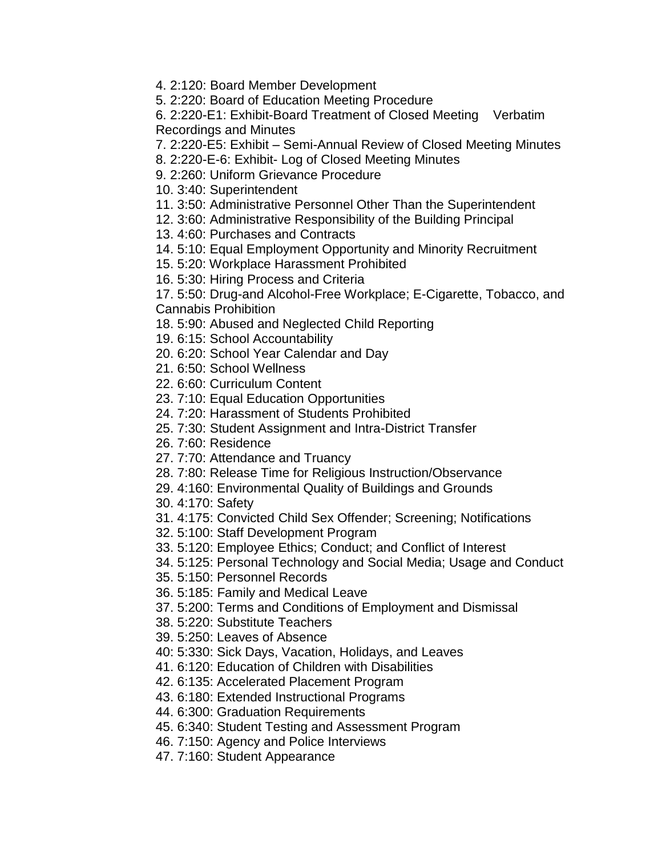4. 2:120: Board Member Development

5. 2:220: Board of Education Meeting Procedure

6. 2:220-E1: Exhibit-Board Treatment of Closed Meeting Verbatim Recordings and Minutes

7. 2:220-E5: Exhibit – Semi-Annual Review of Closed Meeting Minutes

8. 2:220-E-6: Exhibit- Log of Closed Meeting Minutes

9. 2:260: Uniform Grievance Procedure

10. 3:40: Superintendent

11. 3:50: Administrative Personnel Other Than the Superintendent

12. 3:60: Administrative Responsibility of the Building Principal

13. 4:60: Purchases and Contracts

14. 5:10: Equal Employment Opportunity and Minority Recruitment

15. 5:20: Workplace Harassment Prohibited

16. 5:30: Hiring Process and Criteria

17. 5:50: Drug-and Alcohol-Free Workplace; E-Cigarette, Tobacco, and Cannabis Prohibition

18. 5:90: Abused and Neglected Child Reporting

19. 6:15: School Accountability

20. 6:20: School Year Calendar and Day

21. 6:50: School Wellness

22. 6:60: Curriculum Content

23. 7:10: Equal Education Opportunities

24. 7:20: Harassment of Students Prohibited

25. 7:30: Student Assignment and Intra-District Transfer

26. 7:60: Residence

27. 7:70: Attendance and Truancy

28. 7:80: Release Time for Religious Instruction/Observance

29. 4:160: Environmental Quality of Buildings and Grounds

30. 4:170: Safety

31. 4:175: Convicted Child Sex Offender; Screening; Notifications

32. 5:100: Staff Development Program

33. 5:120: Employee Ethics; Conduct; and Conflict of Interest

34. 5:125: Personal Technology and Social Media; Usage and Conduct

35. 5:150: Personnel Records

36. 5:185: Family and Medical Leave

37. 5:200: Terms and Conditions of Employment and Dismissal

38. 5:220: Substitute Teachers

39. 5:250: Leaves of Absence

40: 5:330: Sick Days, Vacation, Holidays, and Leaves

41. 6:120: Education of Children with Disabilities

42. 6:135: Accelerated Placement Program

43. 6:180: Extended Instructional Programs

44. 6:300: Graduation Requirements

45. 6:340: Student Testing and Assessment Program

46. 7:150: Agency and Police Interviews

47. 7:160: Student Appearance